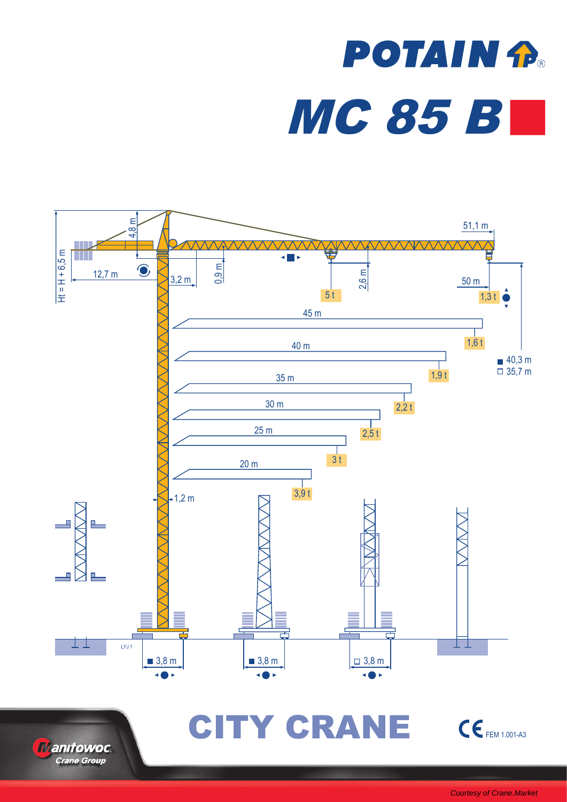# **POTAIN P.** MC 85 B





CITY CRANE CEFEM 1.001-A3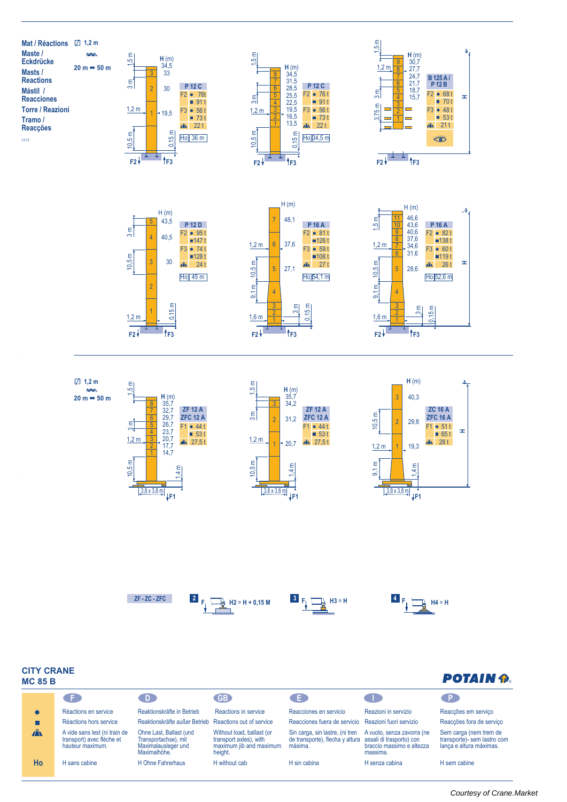



 $F2 + 1$  **f**  $F3$ 



 $F2 + \frac{1}{2} + \frac{1}{2} + F3$ 

1



 $F2V^2 + F3$ 

1







## **CITY CRANE MC85B**

# **POTAIN P.**

|              | C.F.                                                                           | D.                                                                                     | GB <sub>2</sub>                                                                           | . E.                                                                                                   |                                                                     | . P.                                                                             |
|--------------|--------------------------------------------------------------------------------|----------------------------------------------------------------------------------------|-------------------------------------------------------------------------------------------|--------------------------------------------------------------------------------------------------------|---------------------------------------------------------------------|----------------------------------------------------------------------------------|
| $\bullet$    | Réactions en service                                                           | Reaktionskräfte in Betrieb                                                             | Reactions in service                                                                      | Reacciones en servicio                                                                                 | Reazioni in servizio                                                | Reacções em serviço                                                              |
| $\Box$       | Réactions hors service                                                         | Reaktionskräfte außer Betrieb Reactions out of service                                 |                                                                                           | Reacciones fuera de servicio Reazioni fuori servizio                                                   |                                                                     | Reacções fora de serviço                                                         |
| $\mathbf{A}$ | A vide sans lest (ni train de<br>transport) avec flèche et<br>hauteur maximum. | Ohne Last, Ballast (und<br>Transportachse), mit<br>Maximalausleger und<br>Maximalhöhe. | Without load, ballast (or<br>transport axles), with<br>maximum jib and maximum<br>height. | Sin carga, sin lastre, (ni tren<br>de transporte), flecha y altura assali di trasporto) con<br>máxima. | A vuoto, senza zavorra (ne<br>braccio massimo e altezza<br>massima. | Sem carga (nem trem de<br>transporte)- sem lastro com<br>lança e altura máximas. |
| Ho           | H sans cabine                                                                  | H Ohne Fahrerhaus                                                                      | H without cab                                                                             | H sin cabina                                                                                           | H senza cabina                                                      | H sem cabine                                                                     |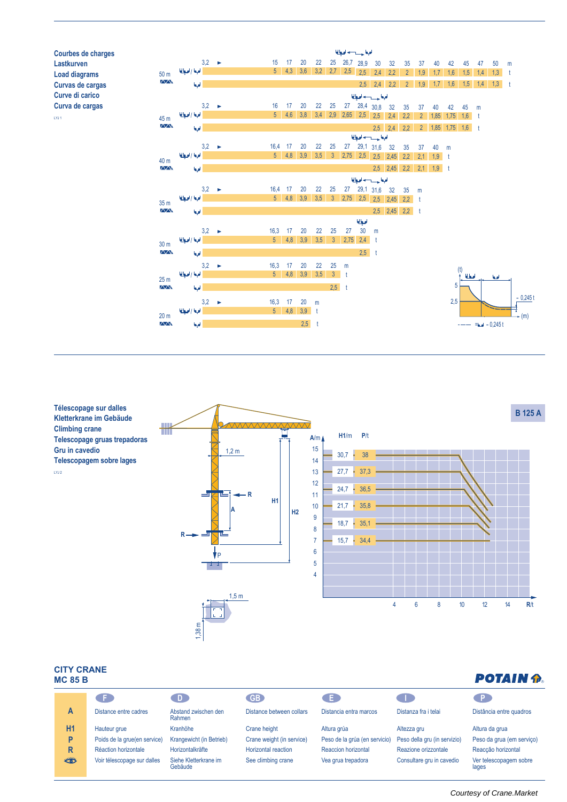

**Télescopage sur dalles Kletterkrane im Gebäude Climbing crane Telescopage gruas trepadoras Gru in cavedio Telescopagem sobre lages** LYJ 2



### **CITY CRANE MC85B**

| שיות טוש וווי<br><b>IC 85 B</b> |                              | <b>POTAIN P.</b>                 |                           |                               |                              |                                 |
|---------------------------------|------------------------------|----------------------------------|---------------------------|-------------------------------|------------------------------|---------------------------------|
|                                 | CF.                          | $\Box$                           | <b>GB</b>                 | Œ                             |                              |                                 |
| A                               | Distance entre cadres        | Abstand zwischen den<br>Rahmen   | Distance between collars  | Distancia entra marcos        | Distanza fra i telai         | Distância entre quadros         |
| <b>H1</b>                       | Hauteur grue                 | Kranhöhe                         | Crane height              | Altura grúa                   | Altezza gru                  | Altura da grua                  |
| P                               | Poids de la grue(en service) | Krangewicht (in Betrieb)         | Crane weight (in service) | Peso de la grúa (en servicio) | Peso della gru (in servizio) | Peso da grua (em serviço)       |
| R                               | Réaction horizontale         | Horizontalkräfte                 | Horizontal reaction       | Reaccion horizontal           | Reazione orizzontale         | Reacção horizontal              |
| **                              | Voir télescopage sur dalles  | Siehe Kletterkrane im<br>Gebäude | See climbing crane        | Vea grua trepadora            | Consultare gru in cavedio    | Ver telescopagem sobre<br>lages |